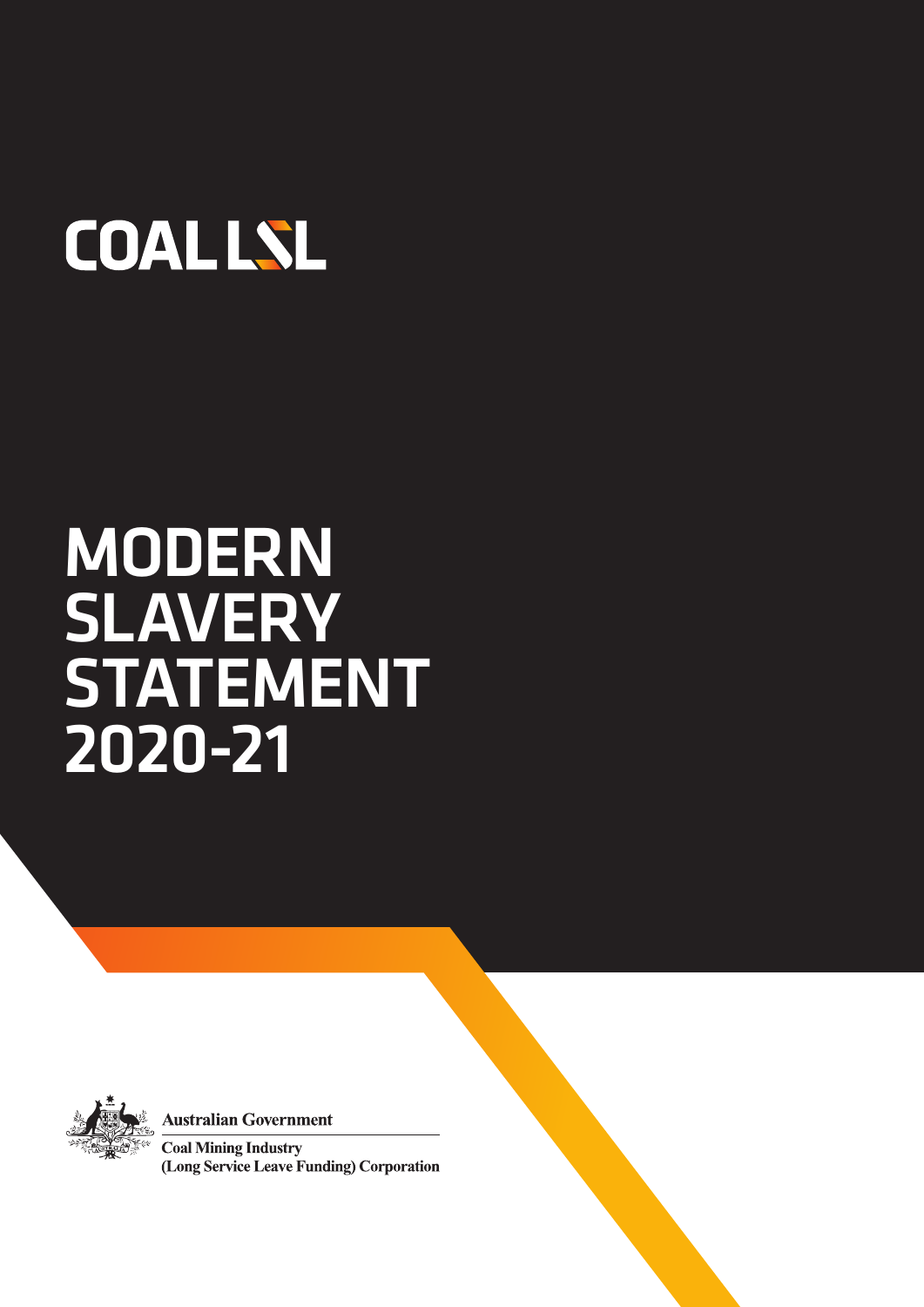# **COALLSL**

## MODERN **SLAVERY STATEMENT** 2020-21



**Australian Government** 

**Coal Mining Industry** (Long Service Leave Funding) Corporation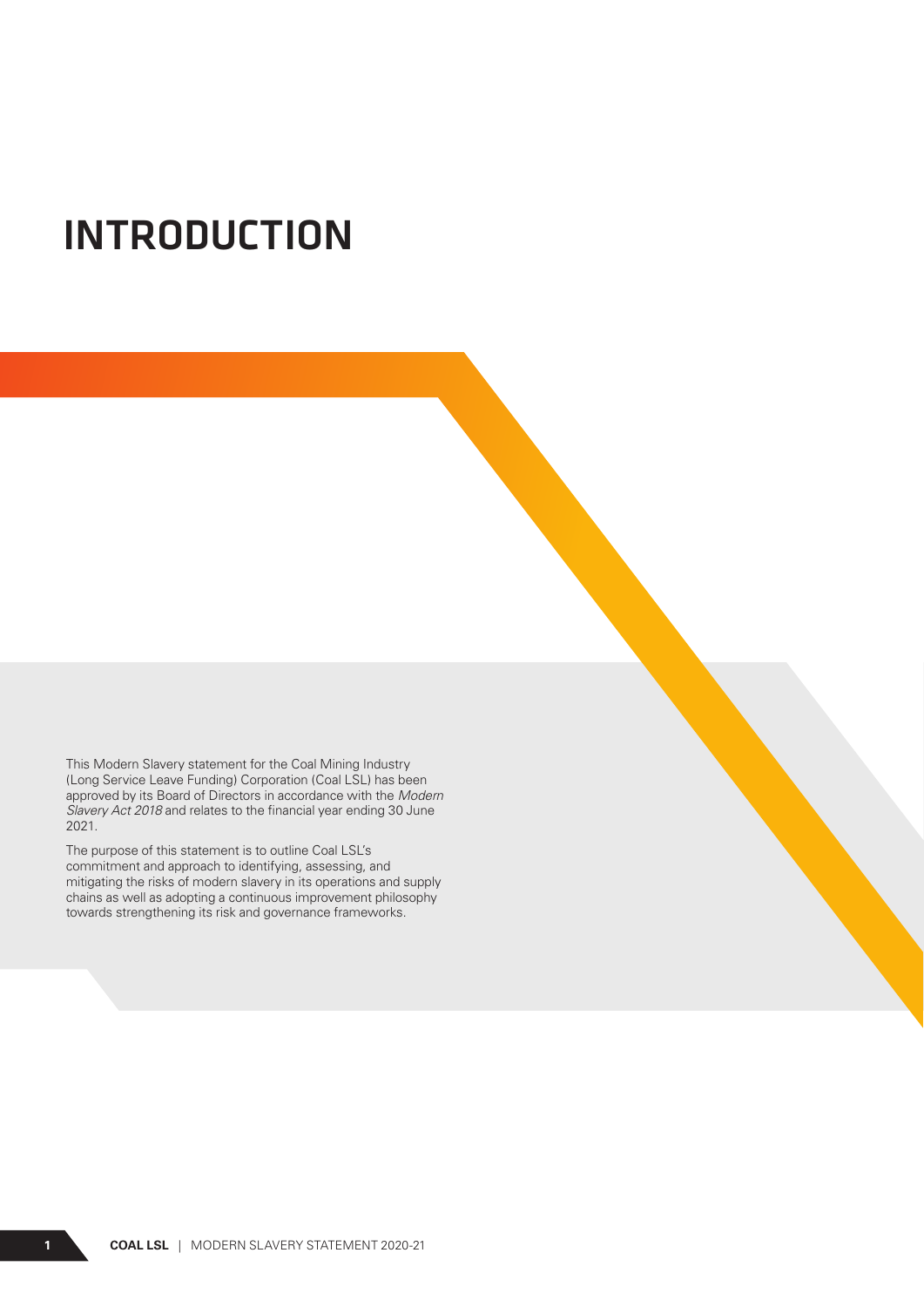### INTRODUCTION

This Modern Slavery statement for the Coal Mining Industry (Long Service Leave Funding) Corporation (Coal LSL) has been approved by its Board of Directors in accordance with the *Modern Slavery Act 2018* and relates to the financial year ending 30 June 2021.

The purpose of this statement is to outline Coal LSL's commitment and approach to identifying, assessing, and mitigating the risks of modern slavery in its operations and supply chains as well as adopting a continuous improvement philosophy towards strengthening its risk and governance frameworks.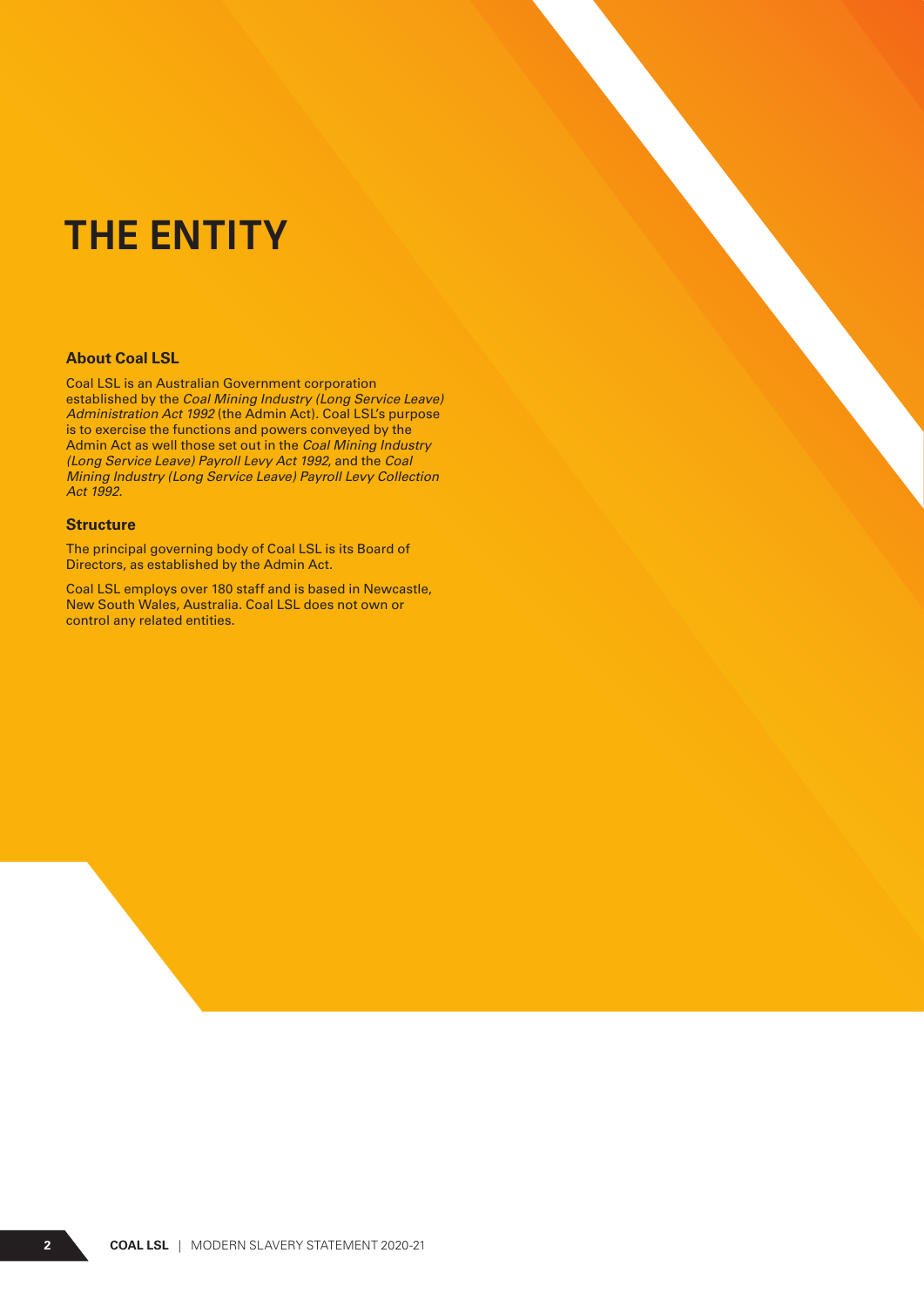### THE ENTITY

#### **About Coal LSL**

Coal LSL is an Australian Government corporation established by the *Coal Mining Industry (Long Service Leave) Administration Act 1992* (the Admin Act). Coal LSL's purpose is to exercise the functions and powers conveyed by the Admin Act as well those set out in the *Coal Mining Industry (Long Service Leave) Payroll Levy Act 1992*, and the *Coal Mining Industry (Long Service Leave) Payroll Levy Collection Act 1992.* 

#### **Structure**

The principal governing body of Coal LSL is its Board of Directors, as established by the Admin Act.

Coal LSL employs over 180 staff and is based in Newcastle, New South Wales, Australia. Coal LSL does not own or control any related entities.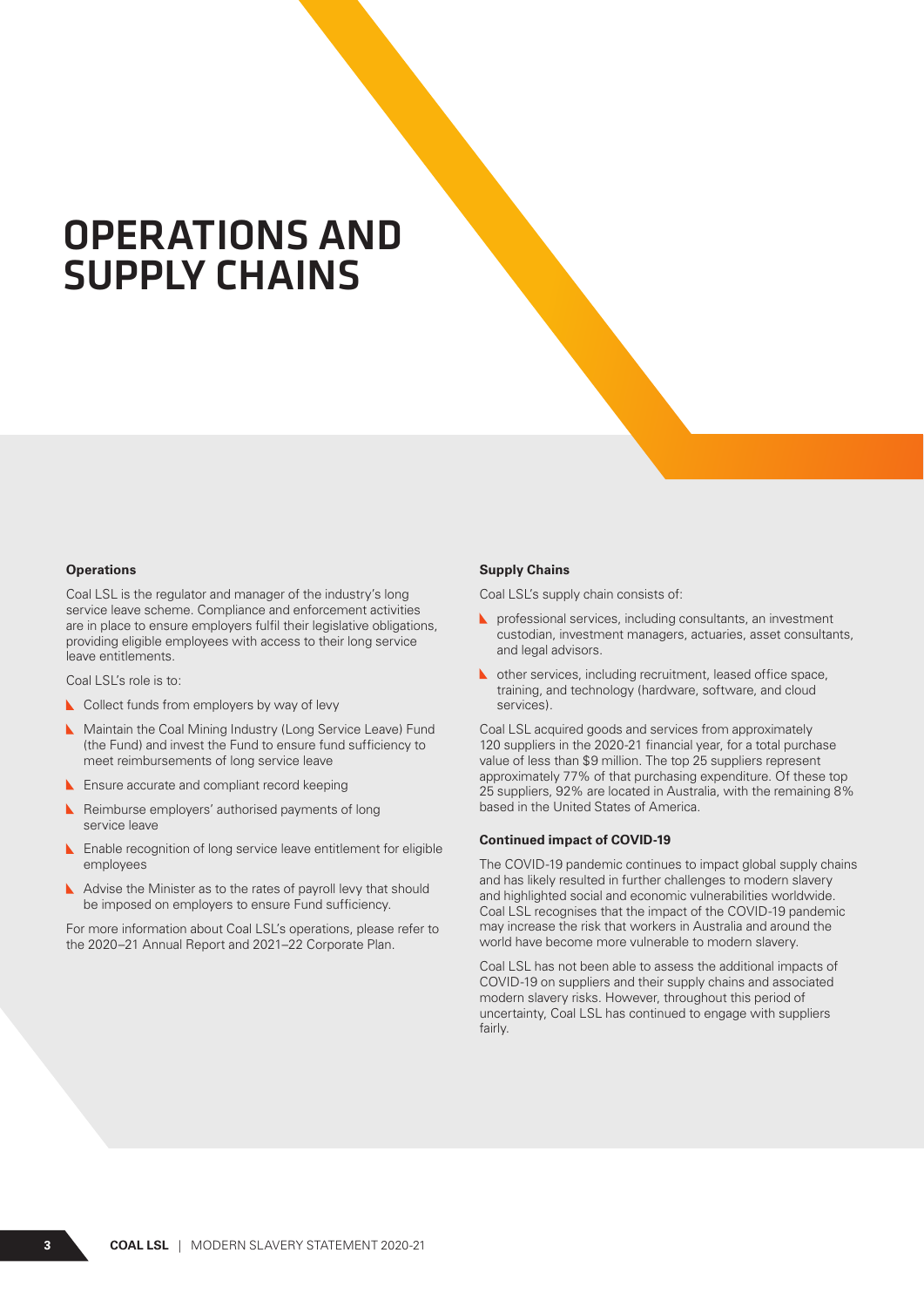### OPERATIONS AND SUPPLY CHAINS

#### **Operations**

Coal LSL is the regulator and manager of the industry's long service leave scheme. Compliance and enforcement activities are in place to ensure employers fulfil their legislative obligations, providing eligible employees with access to their long service leave entitlements.

Coal LSL's role is to:

- Collect funds from employers by way of levy
- Maintain the Coal Mining Industry (Long Service Leave) Fund (the Fund) and invest the Fund to ensure fund sufficiency to meet reimbursements of long service leave
- **L** Ensure accurate and compliant record keeping
- **Reimburse employers' authorised payments of long** service leave
- **L** Enable recognition of long service leave entitlement for eligible employees
- Advise the Minister as to the rates of payroll levy that should be imposed on employers to ensure Fund sufficiency.

For more information about Coal LSL's operations, please refer to the 2020–21 Annual Report and 2021–22 Corporate Plan.

#### **Supply Chains**

Coal LSL's supply chain consists of:

- **Part** professional services, including consultants, an investment custodian, investment managers, actuaries, asset consultants, and legal advisors.
- other services, including recruitment, leased office space, training, and technology (hardware, software, and cloud services).

Coal LSL acquired goods and services from approximately 120 suppliers in the 2020-21 financial year, for a total purchase value of less than \$9 million. The top 25 suppliers represent approximately 77% of that purchasing expenditure. Of these top 25 suppliers, 92% are located in Australia, with the remaining 8% based in the United States of America.

#### **Continued impact of COVID-19**

The COVID-19 pandemic continues to impact global supply chains and has likely resulted in further challenges to modern slavery and highlighted social and economic vulnerabilities worldwide. Coal LSL recognises that the impact of the COVID-19 pandemic may increase the risk that workers in Australia and around the world have become more vulnerable to modern slavery.

Coal LSL has not been able to assess the additional impacts of COVID-19 on suppliers and their supply chains and associated modern slavery risks. However, throughout this period of uncertainty, Coal LSL has continued to engage with suppliers fairly.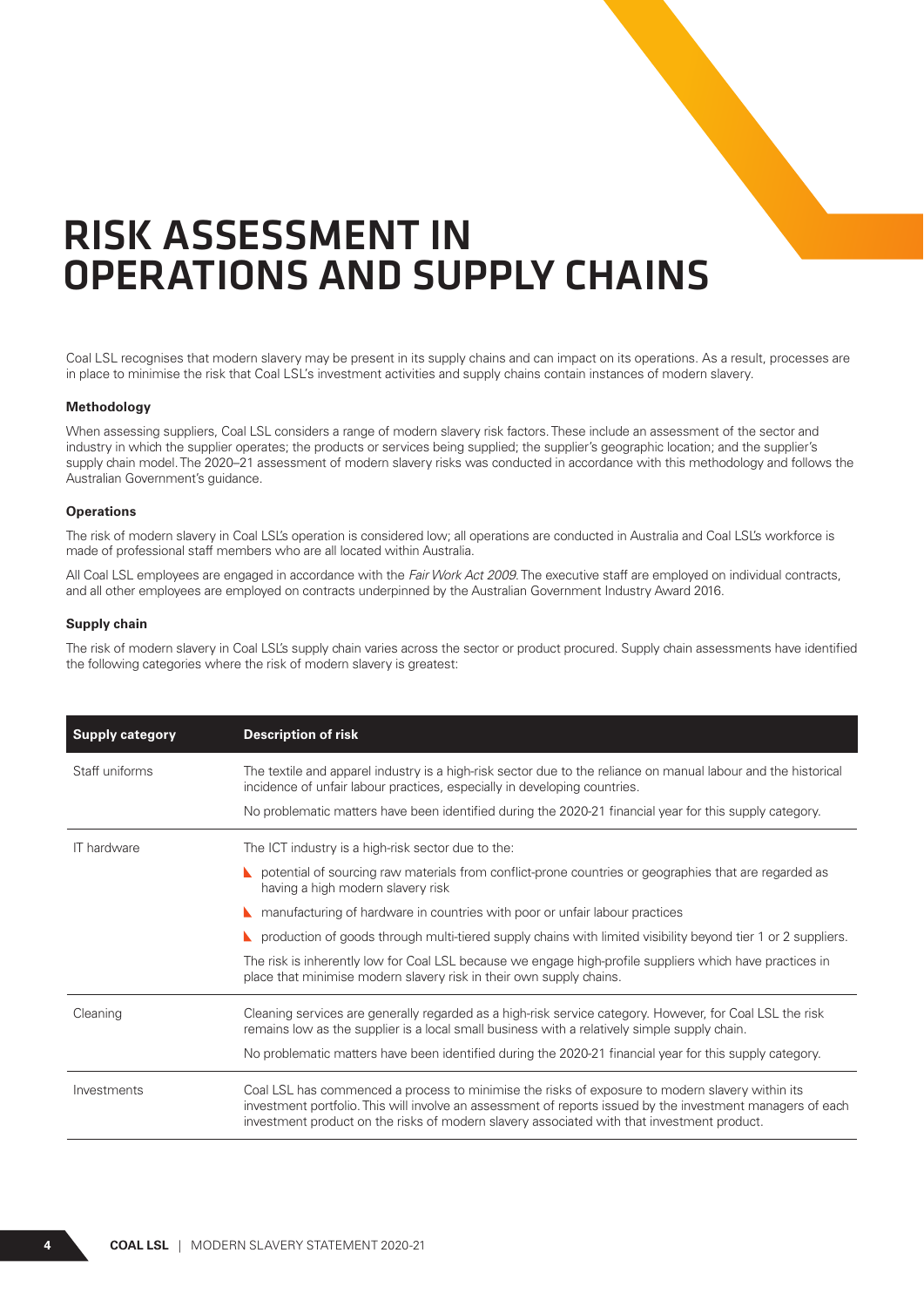### RISK ASSESSMENT IN OPERATIONS AND SUPPLY CHAINS

Coal LSL recognises that modern slavery may be present in its supply chains and can impact on its operations. As a result, processes are in place to minimise the risk that Coal LSL's investment activities and supply chains contain instances of modern slavery.

#### **Methodology**

When assessing suppliers, Coal LSL considers a range of modern slavery risk factors. These include an assessment of the sector and industry in which the supplier operates; the products or services being supplied; the supplier's geographic location; and the supplier's supply chain model. The 2020–21 assessment of modern slavery risks was conducted in accordance with this methodology and follows the Australian Government's guidance.

#### **Operations**

The risk of modern slavery in Coal LSL's operation is considered low; all operations are conducted in Australia and Coal LSL's workforce is made of professional staff members who are all located within Australia.

All Coal LSL employees are engaged in accordance with the *Fair Work Act 2009*. The executive staff are employed on individual contracts, and all other employees are employed on contracts underpinned by the Australian Government Industry Award 2016.

#### **Supply chain**

The risk of modern slavery in Coal LSL's supply chain varies across the sector or product procured. Supply chain assessments have identified the following categories where the risk of modern slavery is greatest:

| <b>Supply category</b> | <b>Description of risk</b>                                                                                                                                                                                                                                                                                  |
|------------------------|-------------------------------------------------------------------------------------------------------------------------------------------------------------------------------------------------------------------------------------------------------------------------------------------------------------|
| Staff uniforms         | The textile and apparel industry is a high-risk sector due to the reliance on manual labour and the historical<br>incidence of unfair labour practices, especially in developing countries.<br>No problematic matters have been identified during the 2020-21 financial year for this supply category.      |
| <b>IT</b> hardware     | The ICT industry is a high-risk sector due to the:                                                                                                                                                                                                                                                          |
|                        | potential of sourcing raw materials from conflict-prone countries or geographies that are regarded as<br>having a high modern slavery risk                                                                                                                                                                  |
|                        | manufacturing of hardware in countries with poor or unfair labour practices                                                                                                                                                                                                                                 |
|                        | production of goods through multi-tiered supply chains with limited visibility beyond tier 1 or 2 suppliers.                                                                                                                                                                                                |
|                        | The risk is inherently low for Coal LSL because we engage high-profile suppliers which have practices in<br>place that minimise modern slavery risk in their own supply chains.                                                                                                                             |
| Cleaning               | Cleaning services are generally regarded as a high-risk service category. However, for Coal LSL the risk<br>remains low as the supplier is a local small business with a relatively simple supply chain.                                                                                                    |
|                        | No problematic matters have been identified during the 2020-21 financial year for this supply category.                                                                                                                                                                                                     |
| Investments            | Coal LSL has commenced a process to minimise the risks of exposure to modern slavery within its<br>investment portfolio. This will involve an assessment of reports issued by the investment managers of each<br>investment product on the risks of modern slavery associated with that investment product. |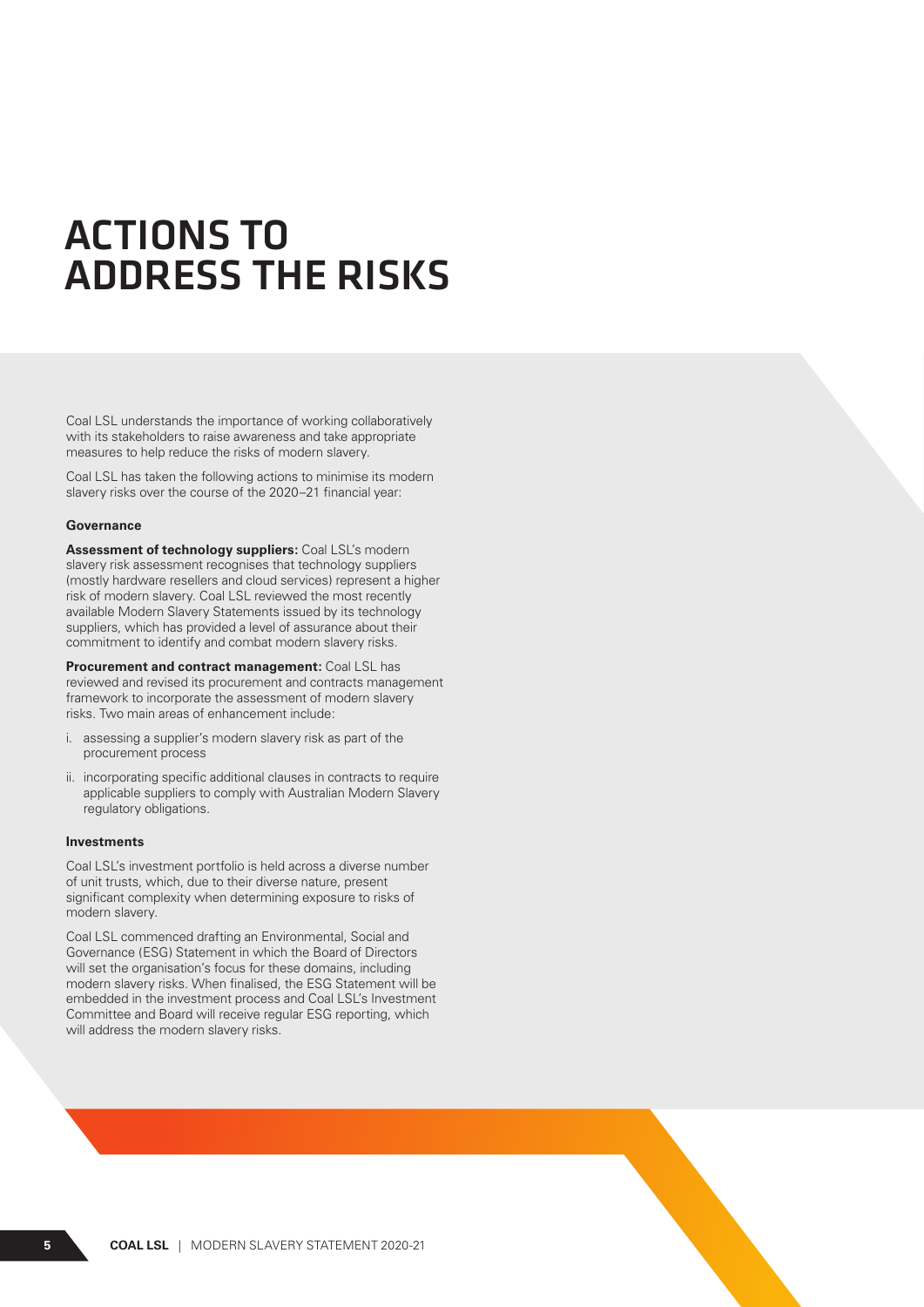### ACTIONS TO ADDRESS THE RISKS

Coal LSL understands the importance of working collaboratively with its stakeholders to raise awareness and take appropriate measures to help reduce the risks of modern slavery.

Coal LSL has taken the following actions to minimise its modern slavery risks over the course of the 2020–21 financial year:

#### **Governance**

**Assessment of technology suppliers:** Coal LSL's modern slavery risk assessment recognises that technology suppliers (mostly hardware resellers and cloud services) represent a higher risk of modern slavery. Coal LSL reviewed the most recently available Modern Slavery Statements issued by its technology suppliers, which has provided a level of assurance about their commitment to identify and combat modern slavery risks.

**Procurement and contract management:** Coal LSL has reviewed and revised its procurement and contracts management framework to incorporate the assessment of modern slavery risks. Two main areas of enhancement include:

- i. assessing a supplier's modern slavery risk as part of the procurement process
- ii. incorporating specific additional clauses in contracts to require applicable suppliers to comply with Australian Modern Slavery regulatory obligations.

#### **Investments**

Coal LSL's investment portfolio is held across a diverse number of unit trusts, which, due to their diverse nature, present significant complexity when determining exposure to risks of modern slavery.

Coal LSL commenced drafting an Environmental, Social and Governance (ESG) Statement in which the Board of Directors will set the organisation's focus for these domains, including modern slavery risks. When finalised, the ESG Statement will be embedded in the investment process and Coal LSL's Investment Committee and Board will receive regular ESG reporting, which will address the modern slavery risks.